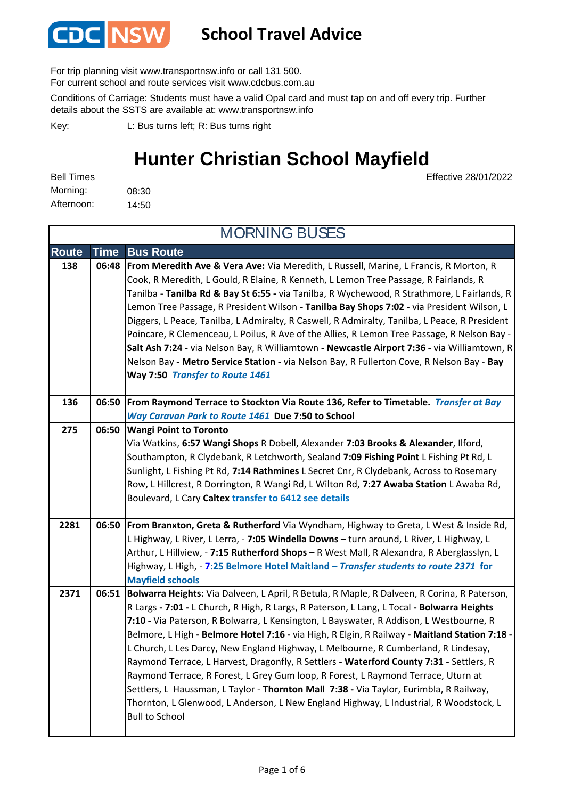

## **School Travel Advice**

For trip planning visit www.transportnsw.info or call 131 500.

For current school and route services visit www.cdcbus.com.au

Conditions of Carriage: Students must have a valid Opal card and must tap on and off every trip. Further details about the SSTS are available at: www.transportnsw.info

L: Bus turns left; R: Bus turns right Key:

## **Hunter Christian School Mayfield**

Effective 28/01/2022

08:30 14:50 Morning: Afternoon: Bell Times

**Route Time Bus Route 138 06:48 From Meredith Ave & Vera Ave:** Via Meredith, L Russell, Marine, L Francis, R Morton, R Cook, R Meredith, L Gould, R Elaine, R Kenneth, L Lemon Tree Passage, R Fairlands, R Tanilba - **Tanilba Rd & Bay St 6:55 -** via Tanilba, R Wychewood, R Strathmore, L Fairlands, R Lemon Tree Passage, R President Wilson **- Tanilba Bay Shops 7:02 -** via President Wilson, L Diggers, L Peace, Tanilba, L Admiralty, R Caswell, R Admiralty, Tanilba, L Peace, R President Poincare, R Clemenceau, L Poilus, R Ave of the Allies, R Lemon Tree Passage, R Nelson Bay - **Salt Ash 7:24 -** via Nelson Bay, R Williamtown **- Newcastle Airport 7:36 -** via Williamtown, R Nelson Bay **- Metro Service Station -** via Nelson Bay, R Fullerton Cove, R Nelson Bay - **Bay Way 7:50** *Transfer to Route 1461* **136 06:50 From Raymond Terrace to Stockton Via Route 136, Refer to Timetable***. Transfer at Bay Way Caravan Park to Route 1461* **Due 7:50 to School Wangi Point to Toronto 275 06:50** Via Watkins, **6:57 Wangi Shops** R Dobell, Alexander **7:03 Brooks & Alexander**, Ilford, Southampton, R Clydebank, R Letchworth, Sealand **7:09 Fishing Point** L Fishing Pt Rd, L Sunlight, L Fishing Pt Rd, **7:14 Rathmines** L Secret Cnr, R Clydebank, Across to Rosemary Row, L Hillcrest, R Dorrington, R Wangi Rd, L Wilton Rd, **7:27 Awaba Station** L Awaba Rd, Boulevard, L Cary **Caltex transfer to 6412 see details 2281 06:50 From Branxton, Greta & Rutherford** Via Wyndham, Highway to Greta, L West & Inside Rd, L Highway, L River, L Lerra, - **7:05 Windella Downs** – turn around, L River, L Highway, L Arthur, L Hillview, - **7:15 Rutherford Shops** – R West Mall, R Alexandra, R Aberglasslyn, L Highway, L High, - **7:25 Belmore Hotel Maitland** – *Transfer students to route 2371* **for Mayfield schools 2371 06:51 Bolwarra Heights:** Via Dalveen, L April, R Betula, R Maple, R Dalveen, R Corina, R Paterson, R Largs **- 7:01 -** L Church, R High, R Largs, R Paterson, L Lang, L Tocal **- Bolwarra Heights 7:10 -** Via Paterson, R Bolwarra, L Kensington, L Bayswater, R Addison, L Westbourne, R Belmore, L High **- Belmore Hotel 7:16 -** via High, R Elgin, R Railway **- Maitland Station 7:18 -**  L Church, L Les Darcy, New England Highway, L Melbourne, R Cumberland, R Lindesay, Raymond Terrace, L Harvest, Dragonfly, R Settlers **- Waterford County 7:31 -** Settlers, R Raymond Terrace, R Forest, L Grey Gum loop, R Forest, L Raymond Terrace, Uturn at MORNING BUSES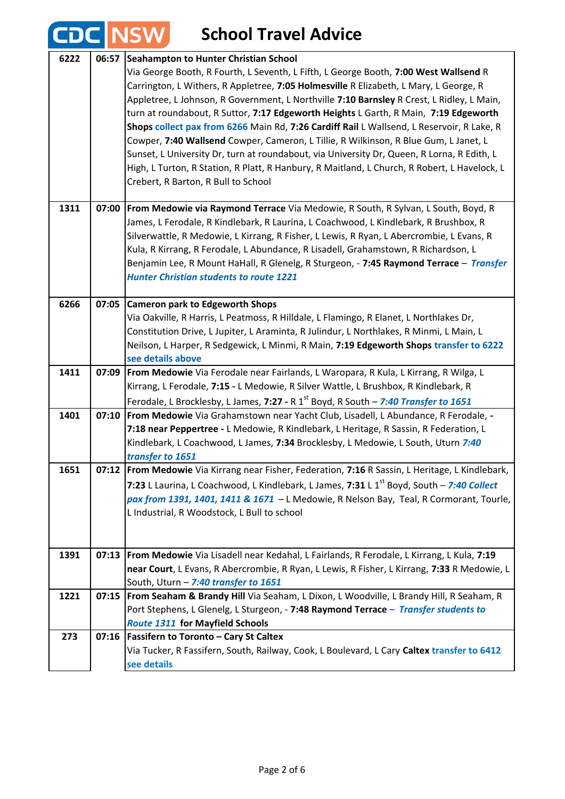| <b>CDC</b> |       | <b>NSW</b><br><b>School Travel Advice</b>                                                                                                                                                                                                                                                                                                                                                                                                                                                                                                                                                                                                                                                                                                                                                                                             |
|------------|-------|---------------------------------------------------------------------------------------------------------------------------------------------------------------------------------------------------------------------------------------------------------------------------------------------------------------------------------------------------------------------------------------------------------------------------------------------------------------------------------------------------------------------------------------------------------------------------------------------------------------------------------------------------------------------------------------------------------------------------------------------------------------------------------------------------------------------------------------|
| 6222       | 06:57 | Seahampton to Hunter Christian School<br>Via George Booth, R Fourth, L Seventh, L Fifth, L George Booth, 7:00 West Wallsend R<br>Carrington, L Withers, R Appletree, 7:05 Holmesville R Elizabeth, L Mary, L George, R<br>Appletree, L Johnson, R Government, L Northville 7:10 Barnsley R Crest, L Ridley, L Main,<br>turn at roundabout, R Suttor, 7:17 Edgeworth Heights L Garth, R Main, 7:19 Edgeworth<br>Shops collect pax from 6266 Main Rd, 7:26 Cardiff Rail L Wallsend, L Reservoir, R Lake, R<br>Cowper, 7:40 Wallsend Cowper, Cameron, L Tillie, R Wilkinson, R Blue Gum, L Janet, L<br>Sunset, L University Dr, turn at roundabout, via University Dr, Queen, R Lorna, R Edith, L<br>High, L Turton, R Station, R Platt, R Hanbury, R Maitland, L Church, R Robert, L Havelock, L<br>Crebert, R Barton, R Bull to School |
| 1311       | 07:00 | From Medowie via Raymond Terrace Via Medowie, R South, R Sylvan, L South, Boyd, R<br>James, L Ferodale, R Kindlebark, R Laurina, L Coachwood, L Kindlebark, R Brushbox, R<br>Silverwattle, R Medowie, L Kirrang, R Fisher, L Lewis, R Ryan, L Abercrombie, L Evans, R<br>Kula, R Kirrang, R Ferodale, L Abundance, R Lisadell, Grahamstown, R Richardson, L<br>Benjamin Lee, R Mount HaHall, R Glenelg, R Sturgeon, - 7:45 Raymond Terrace - Transfer<br><b>Hunter Christian students to route 1221</b>                                                                                                                                                                                                                                                                                                                               |
| 6266       | 07:05 | <b>Cameron park to Edgeworth Shops</b><br>Via Oakville, R Harris, L Peatmoss, R Hilldale, L Flamingo, R Elanet, L Northlakes Dr,<br>Constitution Drive, L Jupiter, L Araminta, R Julindur, L Northlakes, R Minmi, L Main, L<br>Neilson, L Harper, R Sedgewick, L Minmi, R Main, 7:19 Edgeworth Shops transfer to 6222<br>see details above                                                                                                                                                                                                                                                                                                                                                                                                                                                                                            |
| 1411       |       | 07:09   From Medowie Via Ferodale near Fairlands, L Waropara, R Kula, L Kirrang, R Wilga, L<br>Kirrang, L Ferodale, 7:15 - L Medowie, R Silver Wattle, L Brushbox, R Kindlebark, R<br>Ferodale, L Brocklesby, L James, 7:27 - R 1 <sup>st</sup> Boyd, R South - 7:40 Transfer to 1651                                                                                                                                                                                                                                                                                                                                                                                                                                                                                                                                                 |
| 1401       | 07:10 | From Medowie Via Grahamstown near Yacht Club, Lisadell, L Abundance, R Ferodale, -<br>7:18 near Peppertree - L Medowie, R Kindlebark, L Heritage, R Sassin, R Federation, L<br>Kindlebark, L Coachwood, L James, 7:34 Brocklesby, L Medowie, L South, Uturn 7:40<br>transfer to 1651                                                                                                                                                                                                                                                                                                                                                                                                                                                                                                                                                  |
| 1651       |       | 07:12 From Medowie Via Kirrang near Fisher, Federation, 7:16 R Sassin, L Heritage, L Kindlebark,<br>7:23 L Laurina, L Coachwood, L Kindlebark, L James, 7:31 L 1 <sup>st</sup> Boyd, South - 7:40 Collect<br>pax from 1391, 1401, 1411 & 1671 - L Medowie, R Nelson Bay, Teal, R Cormorant, Tourle,<br>L Industrial, R Woodstock, L Bull to school                                                                                                                                                                                                                                                                                                                                                                                                                                                                                    |
| 1391       | 07:13 | From Medowie Via Lisadell near Kedahal, L Fairlands, R Ferodale, L Kirrang, L Kula, 7:19<br>near Court, L Evans, R Abercrombie, R Ryan, L Lewis, R Fisher, L Kirrang, 7:33 R Medowie, L<br>South, Uturn - 7:40 transfer to 1651                                                                                                                                                                                                                                                                                                                                                                                                                                                                                                                                                                                                       |
| 1221       | 07:15 | From Seaham & Brandy Hill Via Seaham, L Dixon, L Woodville, L Brandy Hill, R Seaham, R<br>Port Stephens, L Glenelg, L Sturgeon, - 7:48 Raymond Terrace - Transfer students to<br><b>Route 1311 for Mayfield Schools</b>                                                                                                                                                                                                                                                                                                                                                                                                                                                                                                                                                                                                               |
| 273        | 07:16 | <b>Fassifern to Toronto - Cary St Caltex</b><br>Via Tucker, R Fassifern, South, Railway, Cook, L Boulevard, L Cary Caltex transfer to 6412<br>see details                                                                                                                                                                                                                                                                                                                                                                                                                                                                                                                                                                                                                                                                             |

 $\overline{1}$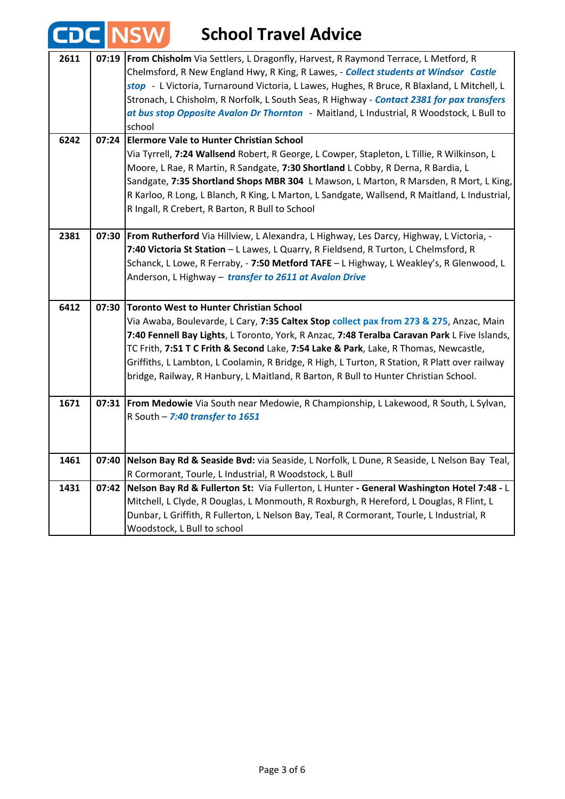|      |       | <b>LINSW</b><br><b>School Travel Advice</b>                                                                                                                                                                                                                                                                                                                                                                                                                                                                         |
|------|-------|---------------------------------------------------------------------------------------------------------------------------------------------------------------------------------------------------------------------------------------------------------------------------------------------------------------------------------------------------------------------------------------------------------------------------------------------------------------------------------------------------------------------|
| 2611 | 07:19 | From Chisholm Via Settlers, L Dragonfly, Harvest, R Raymond Terrace, L Metford, R<br>Chelmsford, R New England Hwy, R King, R Lawes, - <b>Collect students at Windsor</b> Castle<br>stop - L Victoria, Turnaround Victoria, L Lawes, Hughes, R Bruce, R Blaxland, L Mitchell, L<br>Stronach, L Chisholm, R Norfolk, L South Seas, R Highway - Contact 2381 for pax transfers<br>at bus stop Opposite Avalon Dr Thornton - Maitland, L Industrial, R Woodstock, L Bull to<br>school                                  |
| 6242 | 07:24 | <b>Elermore Vale to Hunter Christian School</b><br>Via Tyrrell, 7:24 Wallsend Robert, R George, L Cowper, Stapleton, L Tillie, R Wilkinson, L<br>Moore, L Rae, R Martin, R Sandgate, 7:30 Shortland L Cobby, R Derna, R Bardia, L<br>Sandgate, 7:35 Shortland Shops MBR 304 L Mawson, L Marton, R Marsden, R Mort, L King,<br>R Karloo, R Long, L Blanch, R King, L Marton, L Sandgate, Wallsend, R Maitland, L Industrial,<br>R Ingall, R Crebert, R Barton, R Bull to School                                      |
| 2381 |       | 07:30   From Rutherford Via Hillview, L Alexandra, L Highway, Les Darcy, Highway, L Victoria, -<br>7:40 Victoria St Station - L Lawes, L Quarry, R Fieldsend, R Turton, L Chelmsford, R<br>Schanck, L Lowe, R Ferraby, - 7:50 Metford TAFE - L Highway, L Weakley's, R Glenwood, L<br>Anderson, L Highway - transfer to 2611 at Avalon Drive                                                                                                                                                                        |
| 6412 | 07:30 | Toronto West to Hunter Christian School<br>Via Awaba, Boulevarde, L Cary, 7:35 Caltex Stop collect pax from 273 & 275, Anzac, Main<br>7:40 Fennell Bay Lights, L Toronto, York, R Anzac, 7:48 Teralba Caravan Park L Five Islands,<br>TC Frith, 7:51 T C Frith & Second Lake, 7:54 Lake & Park, Lake, R Thomas, Newcastle,<br>Griffiths, L Lambton, L Coolamin, R Bridge, R High, L Turton, R Station, R Platt over railway<br>bridge, Railway, R Hanbury, L Maitland, R Barton, R Bull to Hunter Christian School. |
| 1671 |       | 07:31   From Medowie Via South near Medowie, R Championship, L Lakewood, R South, L Sylvan,<br>R South $-7:40$ transfer to 1651                                                                                                                                                                                                                                                                                                                                                                                     |
| 1461 | 07:40 | Nelson Bay Rd & Seaside Bvd: via Seaside, L Norfolk, L Dune, R Seaside, L Nelson Bay Teal,<br>R Cormorant, Tourle, L Industrial, R Woodstock, L Bull                                                                                                                                                                                                                                                                                                                                                                |
| 1431 | 07:42 | Nelson Bay Rd & Fullerton St: Via Fullerton, L Hunter - General Washington Hotel 7:48 - L<br>Mitchell, L Clyde, R Douglas, L Monmouth, R Roxburgh, R Hereford, L Douglas, R Flint, L<br>Dunbar, L Griffith, R Fullerton, L Nelson Bay, Teal, R Cormorant, Tourle, L Industrial, R<br>Woodstock, L Bull to school                                                                                                                                                                                                    |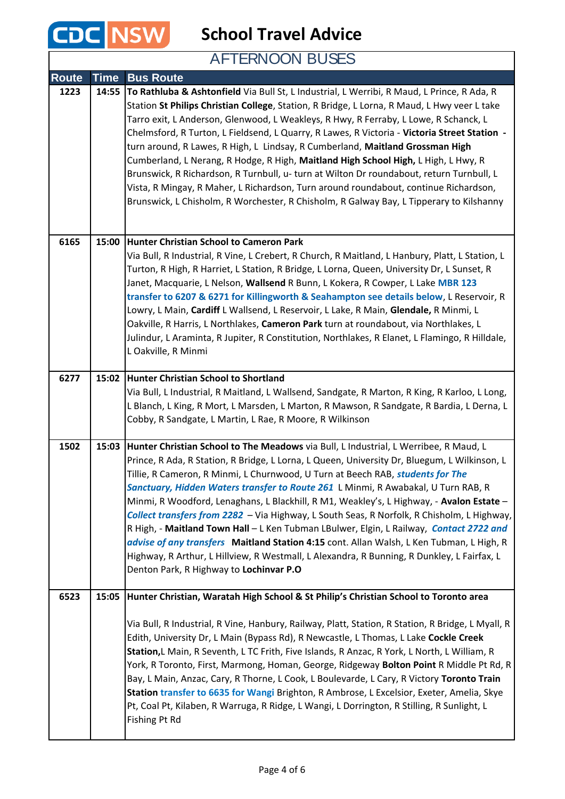

**School Travel Advice**

AFTERNOON BUSES

| <b>Route</b> | <b>Time</b> | <b>Bus Route</b>                                                                                                                                                                                                                                                                                                                                                                                                                                                                                                                                                                                                                                                                                                                                                                                                                                                                            |
|--------------|-------------|---------------------------------------------------------------------------------------------------------------------------------------------------------------------------------------------------------------------------------------------------------------------------------------------------------------------------------------------------------------------------------------------------------------------------------------------------------------------------------------------------------------------------------------------------------------------------------------------------------------------------------------------------------------------------------------------------------------------------------------------------------------------------------------------------------------------------------------------------------------------------------------------|
| 1223         | 14:55       | To Rathluba & Ashtonfield Via Bull St, L Industrial, L Werribi, R Maud, L Prince, R Ada, R<br>Station St Philips Christian College, Station, R Bridge, L Lorna, R Maud, L Hwy veer L take<br>Tarro exit, L Anderson, Glenwood, L Weakleys, R Hwy, R Ferraby, L Lowe, R Schanck, L<br>Chelmsford, R Turton, L Fieldsend, L Quarry, R Lawes, R Victoria - Victoria Street Station -<br>turn around, R Lawes, R High, L Lindsay, R Cumberland, Maitland Grossman High<br>Cumberland, L Nerang, R Hodge, R High, Maitland High School High, L High, L Hwy, R<br>Brunswick, R Richardson, R Turnbull, u- turn at Wilton Dr roundabout, return Turnbull, L<br>Vista, R Mingay, R Maher, L Richardson, Turn around roundabout, continue Richardson,<br>Brunswick, L Chisholm, R Worchester, R Chisholm, R Galway Bay, L Tipperary to Kilshanny                                                     |
| 6165         | 15:00       | Hunter Christian School to Cameron Park<br>Via Bull, R Industrial, R Vine, L Crebert, R Church, R Maitland, L Hanbury, Platt, L Station, L<br>Turton, R High, R Harriet, L Station, R Bridge, L Lorna, Queen, University Dr, L Sunset, R<br>Janet, Macquarie, L Nelson, Wallsend R Bunn, L Kokera, R Cowper, L Lake MBR 123<br>transfer to 6207 & 6271 for Killingworth & Seahampton see details below, L Reservoir, R<br>Lowry, L Main, Cardiff L Wallsend, L Reservoir, L Lake, R Main, Glendale, R Minmi, L<br>Oakville, R Harris, L Northlakes, Cameron Park turn at roundabout, via Northlakes, L<br>Julindur, L Araminta, R Jupiter, R Constitution, Northlakes, R Elanet, L Flamingo, R Hilldale,<br>L Oakville, R Minmi                                                                                                                                                             |
| 6277         |             | 15:02 Hunter Christian School to Shortland<br>Via Bull, L Industrial, R Maitland, L Wallsend, Sandgate, R Marton, R King, R Karloo, L Long,<br>L Blanch, L King, R Mort, L Marsden, L Marton, R Mawson, R Sandgate, R Bardia, L Derna, L<br>Cobby, R Sandgate, L Martin, L Rae, R Moore, R Wilkinson                                                                                                                                                                                                                                                                                                                                                                                                                                                                                                                                                                                        |
| 1502         |             | 15:03 Hunter Christian School to The Meadows via Bull, L Industrial, L Werribee, R Maud, L<br>Prince, R Ada, R Station, R Bridge, L Lorna, L Queen, University Dr, Bluegum, L Wilkinson, L<br>Tillie, R Cameron, R Minmi, L Churnwood, U Turn at Beech RAB, students for The<br>Sanctuary, Hidden Waters transfer to Route 261 L Minmi, R Awabakal, U Turn RAB, R<br>Minmi, R Woodford, Lenaghans, L Blackhill, R M1, Weakley's, L Highway, - Avalon Estate -<br>Collect transfers from 2282 - Via Highway, L South Seas, R Norfolk, R Chisholm, L Highway,<br>R High, - Maitland Town Hall - L Ken Tubman LBulwer, Elgin, L Railway, Contact 2722 and<br>advise of any transfers Maitland Station 4:15 cont. Allan Walsh, L Ken Tubman, L High, R<br>Highway, R Arthur, L Hillview, R Westmall, L Alexandra, R Bunning, R Dunkley, L Fairfax, L<br>Denton Park, R Highway to Lochinvar P.O |
| 6523         | 15:05       | Hunter Christian, Waratah High School & St Philip's Christian School to Toronto area                                                                                                                                                                                                                                                                                                                                                                                                                                                                                                                                                                                                                                                                                                                                                                                                        |
|              |             | Via Bull, R Industrial, R Vine, Hanbury, Railway, Platt, Station, R Station, R Bridge, L Myall, R<br>Edith, University Dr, L Main (Bypass Rd), R Newcastle, L Thomas, L Lake Cockle Creek<br>Station, L Main, R Seventh, L TC Frith, Five Islands, R Anzac, R York, L North, L William, R<br>York, R Toronto, First, Marmong, Homan, George, Ridgeway Bolton Point R Middle Pt Rd, R<br>Bay, L Main, Anzac, Cary, R Thorne, L Cook, L Boulevarde, L Cary, R Victory Toronto Train<br>Station transfer to 6635 for Wangi Brighton, R Ambrose, L Excelsior, Exeter, Amelia, Skye<br>Pt, Coal Pt, Kilaben, R Warruga, R Ridge, L Wangi, L Dorrington, R Stilling, R Sunlight, L<br>Fishing Pt Rd                                                                                                                                                                                               |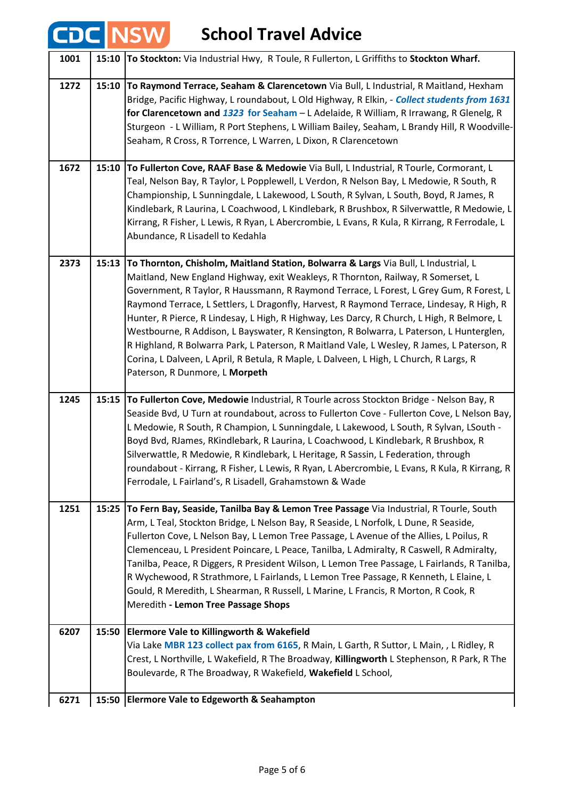## **School Travel Advice**

**CDC NSW** 

| 1001 | 15:10 | <b>To Stockton:</b> Via Industrial Hwy, R Toule, R Fullerton, L Griffiths to Stockton Wharf.                                                                                                                                                                                                                                                                                                                                                                                                                                                                                                                                                                                                                                                                                       |
|------|-------|------------------------------------------------------------------------------------------------------------------------------------------------------------------------------------------------------------------------------------------------------------------------------------------------------------------------------------------------------------------------------------------------------------------------------------------------------------------------------------------------------------------------------------------------------------------------------------------------------------------------------------------------------------------------------------------------------------------------------------------------------------------------------------|
| 1272 | 15:10 | To Raymond Terrace, Seaham & Clarencetown Via Bull, L Industrial, R Maitland, Hexham<br>Bridge, Pacific Highway, L roundabout, L Old Highway, R Elkin, - Collect students from 1631<br>for Clarencetown and 1323 for Seaham - L Adelaide, R William, R Irrawang, R Glenelg, R<br>Sturgeon - L William, R Port Stephens, L William Bailey, Seaham, L Brandy Hill, R Woodville-<br>Seaham, R Cross, R Torrence, L Warren, L Dixon, R Clarencetown                                                                                                                                                                                                                                                                                                                                    |
| 1672 | 15:10 | To Fullerton Cove, RAAF Base & Medowie Via Bull, L Industrial, R Tourle, Cormorant, L<br>Teal, Nelson Bay, R Taylor, L Popplewell, L Verdon, R Nelson Bay, L Medowie, R South, R<br>Championship, L Sunningdale, L Lakewood, L South, R Sylvan, L South, Boyd, R James, R<br>Kindlebark, R Laurina, L Coachwood, L Kindlebark, R Brushbox, R Silverwattle, R Medowie, L<br>Kirrang, R Fisher, L Lewis, R Ryan, L Abercrombie, L Evans, R Kula, R Kirrang, R Ferrodale, L<br>Abundance, R Lisadell to Kedahla                                                                                                                                                                                                                                                                       |
| 2373 | 15:13 | To Thornton, Chisholm, Maitland Station, Bolwarra & Largs Via Bull, L Industrial, L<br>Maitland, New England Highway, exit Weakleys, R Thornton, Railway, R Somerset, L<br>Government, R Taylor, R Haussmann, R Raymond Terrace, L Forest, L Grey Gum, R Forest, L<br>Raymond Terrace, L Settlers, L Dragonfly, Harvest, R Raymond Terrace, Lindesay, R High, R<br>Hunter, R Pierce, R Lindesay, L High, R Highway, Les Darcy, R Church, L High, R Belmore, L<br>Westbourne, R Addison, L Bayswater, R Kensington, R Bolwarra, L Paterson, L Hunterglen,<br>R Highland, R Bolwarra Park, L Paterson, R Maitland Vale, L Wesley, R James, L Paterson, R<br>Corina, L Dalveen, L April, R Betula, R Maple, L Dalveen, L High, L Church, R Largs, R<br>Paterson, R Dunmore, L Morpeth |
| 1245 | 15:15 | To Fullerton Cove, Medowie Industrial, R Tourle across Stockton Bridge - Nelson Bay, R<br>Seaside Bvd, U Turn at roundabout, across to Fullerton Cove - Fullerton Cove, L Nelson Bay,<br>L Medowie, R South, R Champion, L Sunningdale, L Lakewood, L South, R Sylvan, LSouth -<br>Boyd Bvd, RJames, RKindlebark, R Laurina, L Coachwood, L Kindlebark, R Brushbox, R<br>Silverwattle, R Medowie, R Kindlebark, L Heritage, R Sassin, L Federation, through<br>roundabout - Kirrang, R Fisher, L Lewis, R Ryan, L Abercrombie, L Evans, R Kula, R Kirrang, R<br>Ferrodale, L Fairland's, R Lisadell, Grahamstown & Wade                                                                                                                                                            |
| 1251 | 15:25 | To Fern Bay, Seaside, Tanilba Bay & Lemon Tree Passage Via Industrial, R Tourle, South<br>Arm, L Teal, Stockton Bridge, L Nelson Bay, R Seaside, L Norfolk, L Dune, R Seaside,<br>Fullerton Cove, L Nelson Bay, L Lemon Tree Passage, L Avenue of the Allies, L Poilus, R<br>Clemenceau, L President Poincare, L Peace, Tanilba, L Admiralty, R Caswell, R Admiralty,<br>Tanilba, Peace, R Diggers, R President Wilson, L Lemon Tree Passage, L Fairlands, R Tanilba,<br>R Wychewood, R Strathmore, L Fairlands, L Lemon Tree Passage, R Kenneth, L Elaine, L<br>Gould, R Meredith, L Shearman, R Russell, L Marine, L Francis, R Morton, R Cook, R<br>Meredith - Lemon Tree Passage Shops                                                                                         |
| 6207 | 15:50 | <b>Elermore Vale to Killingworth &amp; Wakefield</b><br>Via Lake MBR 123 collect pax from 6165, R Main, L Garth, R Suttor, L Main, , L Ridley, R<br>Crest, L Northville, L Wakefield, R The Broadway, Killingworth L Stephenson, R Park, R The<br>Boulevarde, R The Broadway, R Wakefield, Wakefield L School,                                                                                                                                                                                                                                                                                                                                                                                                                                                                     |
| 6271 | 15:50 | <b>Elermore Vale to Edgeworth &amp; Seahampton</b>                                                                                                                                                                                                                                                                                                                                                                                                                                                                                                                                                                                                                                                                                                                                 |